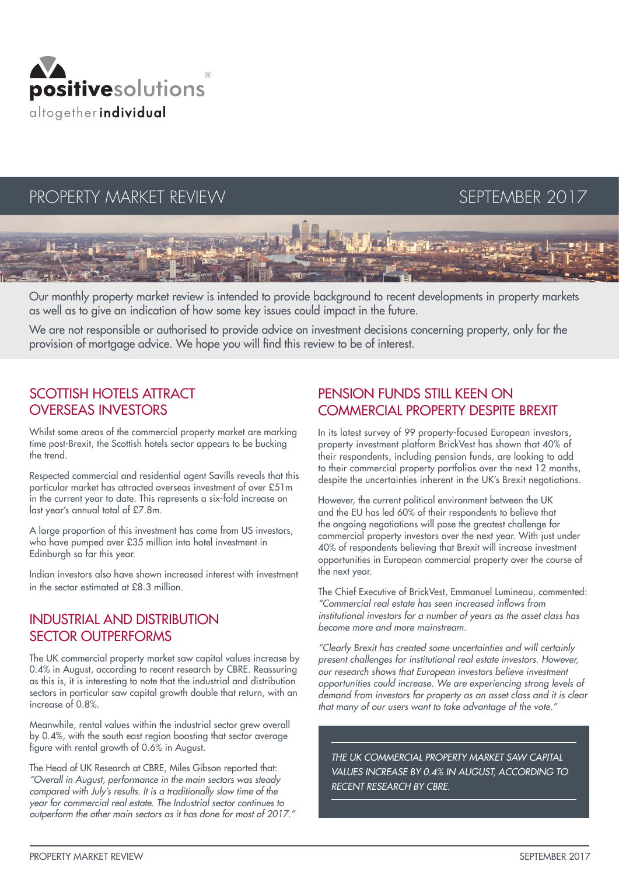

# PROPERTY MARKET REVIEW SEPTEMBER 2017

Our monthly property market review is intended to provide background to recent developments in property markets as well as to give an indication of how some key issues could impact in the future.

We are not responsible or authorised to provide advice on investment decisions concerning property, only for the provision of mortgage advice. We hope you will find this review to be of interest.

# SCOTTISH HOTELS ATTRACT OVERSEAS INVESTORS

Whilst some areas of the commercial property market are marking time post-Brexit, the Scottish hotels sector appears to be bucking the trend.

Respected commercial and residential agent Savills reveals that this particular market has attracted overseas investment of over £51m in the current year to date. This represents a six-fold increase on last year's annual total of £7.8m.

A large proportion of this investment has come from US investors, who have pumped over £35 million into hotel investment in Edinburgh so far this year.

Indian investors also have shown increased interest with investment in the sector estimated at £8.3 million.

### INDUSTRIAL AND DISTRIBUTION SECTOR OUTPERFORMS

The UK commercial property market saw capital values increase by 0.4% in August, according to recent research by CBRE. Reassuring as this is, it is interesting to note that the industrial and distribution sectors in particular saw capital growth double that return, with an increase of 0.8%.

Meanwhile, rental values within the industrial sector arew overall by 0.4%, with the south east region boosting that sector average figure with rental growth of 0.6% in August.

The Head of UK Research at CBRE, Miles Gibson reported that: *"Overall in August, performance in the main sectors was steady compared with July's results. It is a traditionally slow time of the year for commercial real estate. The Industrial sector continues to outperform the other main sectors as it has done for most of 2017."*

# PENSION FUNDS STILL KEEN ON COMMERCIAL PROPERTY DESPITE BREXIT

In its latest survey of 99 property-focused European investors, property investment platform BrickVest has shown that 40% of their respondents, including pension funds, are looking to add to their commercial property portfolios over the next 12 months, despite the uncertainties inherent in the UK's Brexit negotiations.

However, the current political environment between the UK and the EU has led 60% of their respondents to believe that the ongoing negotiations will pose the greatest challenge for commercial property investors over the next year. With just under 40% of respondents believing that Brexit will increase investment opportunities in European commercial property over the course of the next year.

The Chief Executive of BrickVest, Emmanuel Lumineau, commented: "Commercial real estate has seen increased inflows from *institutional investors for a number of years as the asset class has become more and more mainstream.*

*"Clearly Brexit has created some uncertainties and will certainly present challenges for institutional real estate investors. However, our research shows that European investors believe investment opportunities could increase. We are experiencing strong levels of demand from investors for property as an asset class and it is clear that many of our users want to take advantage of the vote."*

*THE UK COMMERCIAL PROPERTY MARKET SAW CAPITAL VALUES INCREASE BY 0.4% IN AUGUST, ACCORDING TO RECENT RESEARCH BY CBRE.*